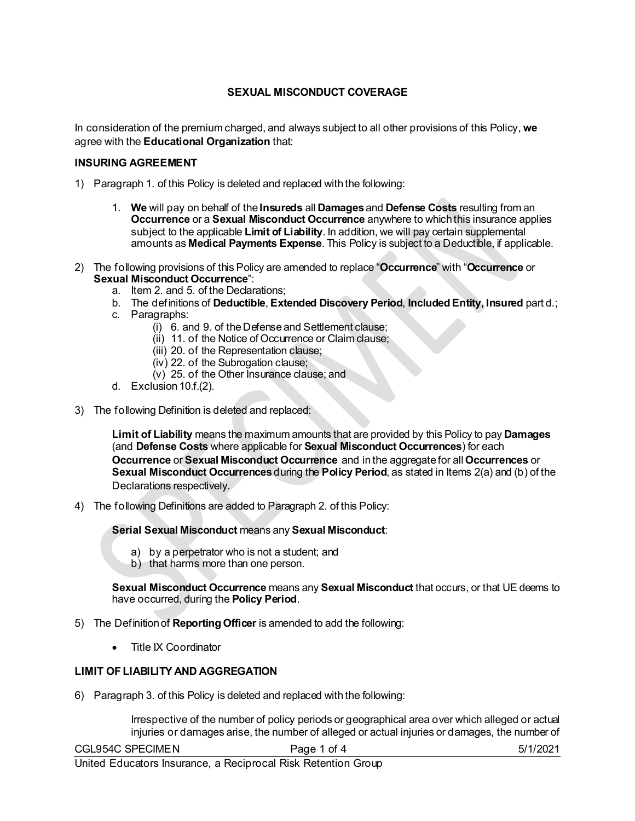## **SEXUAL MISCONDUCT COVERAGE**

In consideration of the premium charged, and always subject to all other provisions of this Policy, **we** agree with the **Educational Organization** that:

#### **INSURING AGREEMENT**

- 1) Paragraph 1. of this Policy is deleted and replaced with the following:
	- 1. **We** will pay on behalf of the **Insureds** all **Damages**and **Defense Costs** resulting from an **Occurrence** or a **Sexual Misconduct Occurrence** anywhere to which this insurance applies subject to the applicable **Limit of Liability**. In addition, we will pay certain supplemental amounts as **Medical Payments Expense**. This Policy is subject to a Deductible, if applicable.
- 2) The following provisions of this Policy are amended to replace "**Occurrence**" with "**Occurrence** or **Sexual Misconduct Occurrence**":
	- a. Item 2. and 5. of the Declarations;
	- b. The definitions of **Deductible**, **Extended Discovery Period**, **Included Entity, Insured** part d.;
	- c. Paragraphs:
		- (i) 6. and 9. of the Defense and Settlement clause;
		- (ii) 11. of the Notice of Occurrence or Claim clause;
		- (iii) 20. of the Representation clause;
		- (iv) 22. of the Subrogation clause;
		- (v) 25. of the Other Insurance clause; and
	- d. Exclusion 10.f.(2).
- 3) The following Definition is deleted and replaced:

**Limit of Liability** means the maximum amounts that are provided by this Policy to pay **Damages** (and **Defense Costs** where applicable for **Sexual Misconduct Occurrences**) for each **Occurrence** or **Sexual Misconduct Occurrence** and in the aggregate for all **Occurrences** or **Sexual Misconduct Occurrences** during the **Policy Period**, as stated in Items 2(a) and (b) of the Declarations respectively.

4) The following Definitions are added to Paragraph 2. of this Policy:

**Serial Sexual Misconduct** means any **Sexual Misconduct**:

- a) by a perpetrator who is not a student; and
- b) that harms more than one person.

**Sexual Misconduct Occurrence** means any **Sexual Misconduct** that occurs, or that UE deems to have occurred, during the **Policy Period**.

- 5) The Definition of **Reporting Officer** is amended to add the following:
	- Title IX Coordinator

#### **LIMIT OF LIABILITY AND AGGREGATION**

6) Paragraph 3. of this Policy is deleted and replaced with the following:

Irrespective of the number of policy periods or geographical area over which alleged or actual injuries or damages arise, the number of alleged or actual injuries or damages, the number of

| CGL954C SPECIMEN | Page 1 of 4 | 5/1/2021 |
|------------------|-------------|----------|
|                  |             |          |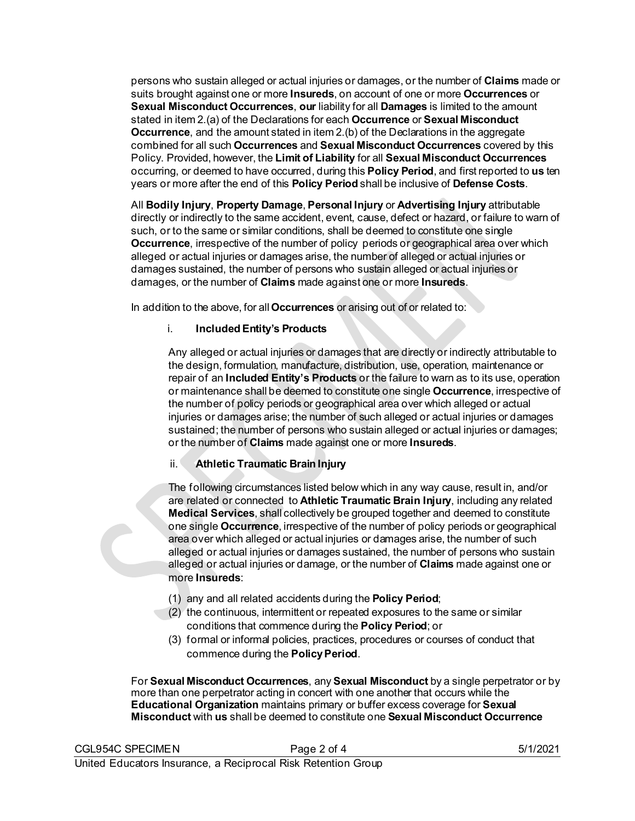persons who sustain alleged or actual injuries or damages, or the number of **Claims** made or suits brought against one or more **Insureds**, on account of one or more **Occurrences** or **Sexual Misconduct Occurrences**, **our** liability for all **Damages** is limited to the amount stated in item 2.(a) of the Declarations for each **Occurrence** or **Sexual Misconduct Occurrence**, and the amount stated in item 2.(b) of the Declarations in the aggregate combined for all such **Occurrences** and **Sexual Misconduct Occurrences** covered by this Policy. Provided, however, the **Limit of Liability** for all **Sexual Misconduct Occurrences** occurring, or deemed to have occurred, during this **Policy Period**, and first reported to **us** ten years or more after the end of this **Policy Period** shall be inclusive of **Defense Costs**.

All **Bodily Injury**, **Property Damage**, **Personal Injury** or **Advertising Injury** attributable directly or indirectly to the same accident, event, cause, defect or hazard, or failure to warn of such, or to the same or similar conditions, shall be deemed to constitute one single **Occurrence**, irrespective of the number of policy periods or geographical area over which alleged or actual injuries or damages arise, the number of alleged or actual injuries or damages sustained, the number of persons who sustain alleged or actual injuries or damages, or the number of **Claims** made against one or more **Insureds**.

In addition to the above, for all **Occurrences** or arising out of or related to:

## i. **Included Entity's Products**

Any alleged or actual injuries or damages that are directly or indirectly attributable to the design, formulation, manufacture, distribution, use, operation, maintenance or repair of an **Included Entity's Products** or the failure to warn as to its use, operation or maintenance shall be deemed to constitute one single **Occurrence**, irrespective of the number of policy periods or geographical area over which alleged or actual injuries or damages arise; the number of such alleged or actual injuries or damages sustained; the number of persons who sustain alleged or actual injuries or damages; or the number of **Claims** made against one or more **Insureds**.

## ii. **Athletic Traumatic Brain Injury**

The following circumstances listed below which in any way cause, result in, and/or are related or connected to **Athletic Traumatic Brain Injury**, including any related **Medical Services**, shall collectively be grouped together and deemed to constitute one single **Occurrence**, irrespective of the number of policy periods or geographical area over which alleged or actual injuries or damages arise, the number of such alleged or actual injuries or damages sustained, the number of persons who sustain alleged or actual injuries or damage, or the number of **Claims** made against one or more **Insureds**:

- (1) any and all related accidents during the **Policy Period**;
- (2) the continuous, intermittent or repeated exposures to the same or similar conditions that commence during the **Policy Period**; or
- (3) formal or informal policies, practices, procedures or courses of conduct that commence during the **Policy Period**.

For **Sexual Misconduct Occurrences**, any **Sexual Misconduct** by a single perpetrator or by more than one perpetrator acting in concert with one another that occurs while the **Educational Organization** maintains primary or buffer excess coverage for **Sexual Misconduct** with **us** shall be deemed to constitute one **Sexual Misconduct Occurrence**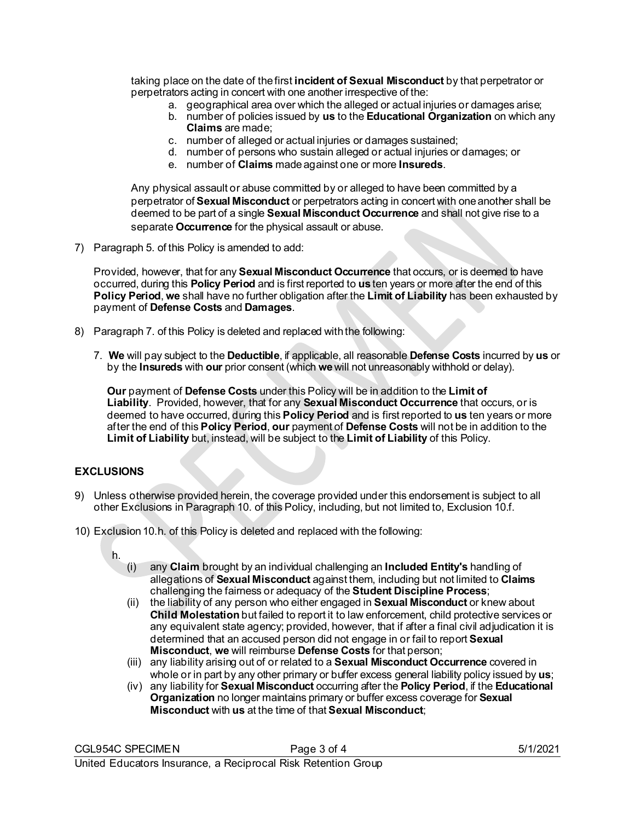taking place on the date of the first **incident of Sexual Misconduct** by that perpetrator or perpetrators acting in concert with one another irrespective of the:

- a. geographical area over which the alleged or actual injuries or damages arise;
- b. number of policies issued by **us** to the **Educational Organization** on which any **Claims** are made;
- c. number of alleged or actual injuries or damages sustained;
- d. number of persons who sustain alleged or actual injuries or damages; or
- e. number of **Claims** made against one or more **Insureds**.

Any physical assault or abuse committed by or alleged to have been committed by a perpetrator of **Sexual Misconduct** or perpetrators acting in concert with one another shall be deemed to be part of a single **Sexual Misconduct Occurrence** and shall not give rise to a separate **Occurrence** for the physical assault or abuse.

7) Paragraph 5. of this Policy is amended to add:

Provided, however, that for any **Sexual Misconduct Occurrence** that occurs, or is deemed to have occurred, during this **Policy Period** and is first reported to **us** ten years or more after the end of this **Policy Period**, **we** shall have no further obligation after the **Limit of Liability** has been exhausted by payment of **Defense Costs** and **Damages**.

- 8) Paragraph 7. of this Policy is deleted and replaced with the following:
	- 7. **We** will pay subject to the **Deductible**, if applicable, all reasonable **Defense Costs** incurred by **us** or by the **Insureds** with **our** prior consent (which **we**will not unreasonably withhold or delay).

**Our** payment of **Defense Costs** under this Policy will be in addition to the **Limit of Liability**. Provided, however, that for any **Sexual Misconduct Occurrence** that occurs, or is deemed to have occurred, during this **Policy Period** and is first reported to **us** ten years or more after the end of this **Policy Period**, **our** payment of **Defense Costs** will not be in addition to the **Limit of Liability** but, instead, will be subject to the **Limit of Liability** of this Policy.

## **EXCLUSIONS**

- 9) Unless otherwise provided herein, the coverage provided under this endorsement is subject to all other Exclusions in Paragraph 10. of this Policy, including, but not limited to, Exclusion 10.f.
- 10) Exclusion 10.h. of this Policy is deleted and replaced with the following:

h.

- (i) any **Claim** brought by an individual challenging an **Included Entity's** handling of allegations of **Sexual Misconduct** against them, including but not limited to **Claims** challenging the fairness or adequacy of the **Student Discipline Process**;
- (ii) the liability of any person who either engaged in **Sexual Misconduct** or knew about **Child Molestation** but failed to report it to law enforcement, child protective services or any equivalent state agency; provided, however, that if after a final civil adjudication it is determined that an accused person did not engage in or fail to report **Sexual Misconduct**, **we** will reimburse **Defense Costs** for that person;
- (iii) any liability arising out of or related to a **Sexual Misconduct Occurrence** covered in whole or in part by any other primary or buffer excess general liability policy issued by **us**;
- (iv) any liability for **Sexual Misconduct** occurring after the **Policy Period**, if the **Educational Organization** no longer maintains primary or buffer excess coverage for **Sexual Misconduct** with **us** at the time of that **Sexual Misconduct**;